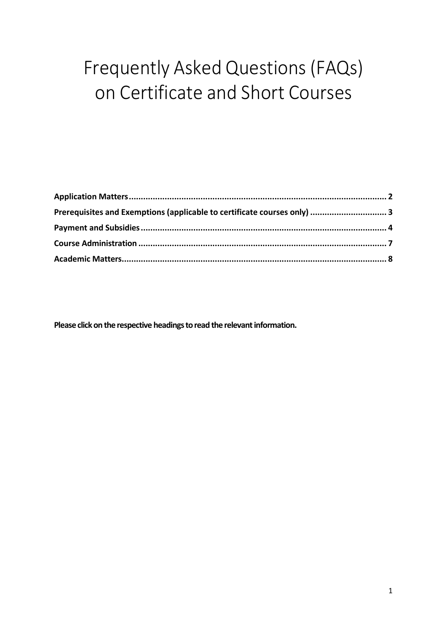# <span id="page-0-0"></span>Frequently Asked Questions (FAQs) on Certificate and Short Courses

| Prerequisites and Exemptions (applicable to certificate courses only)  3 |  |
|--------------------------------------------------------------------------|--|
|                                                                          |  |
|                                                                          |  |
|                                                                          |  |

**Please click on the respective headings to read the relevant information.**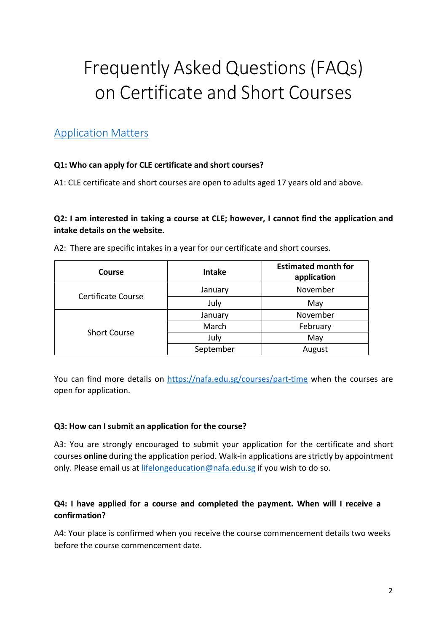# Frequently Asked Questions (FAQs) on Certificate and Short Courses

# <span id="page-1-0"></span>[Application](#page-0-0) Matters

# **Q1: Who can apply for CLE certificate and short courses?**

A1: CLE certificate and short courses are open to adults aged 17 years old and above.

# **Q2: I am interested in taking a course at CLE; however, I cannot find the application and intake details on the website.**

| Course                    | <b>Intake</b> | <b>Estimated month for</b><br>application |
|---------------------------|---------------|-------------------------------------------|
| <b>Certificate Course</b> | January       | November                                  |
|                           | July          | May                                       |
| <b>Short Course</b>       | January       | November                                  |
|                           | March         | February                                  |
|                           | July          | May                                       |
|                           | September     | August                                    |

A2: There are specific intakes in a year for our certificate and short courses.

You can find more details on<https://nafa.edu.sg/courses/part-time> when the courses are open for application.

# **Q3: How can I submit an application for the course?**

A3: You are strongly encouraged to submit your application for the certificate and short courses **online** during the application period. Walk-in applications are strictly by appointment only. Please email us at [lifelongeducation@nafa.edu.sg i](mailto:lifelongeducation@nafa.edu.sg)f you wish to do so.

# **Q4: I have applied for a course and completed the payment. When will I receive a confirmation?**

A4: Your place is confirmed when you receive the course commencement details two weeks before the course commencement date.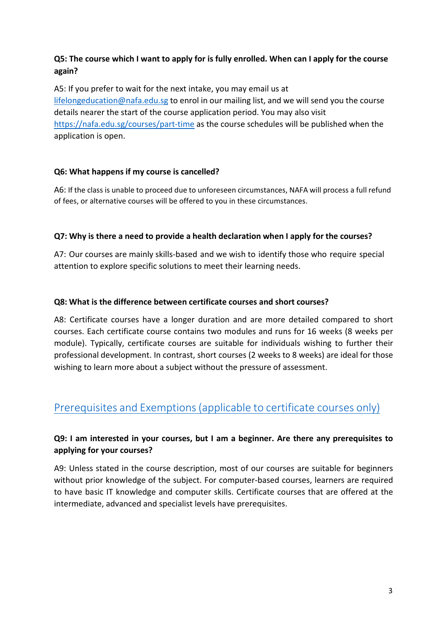# **Q5: The course which I want to apply for is fully enrolled. When can I apply for the course again?**

A5: If you prefer to wait for the next intake, you may email us at [lifelongeducation@nafa.edu.sg t](mailto:lifelongeducation@nafa.edu.sg)o enrol in our mailing list, and we will send you the course details nearer the start of the course application period. You may also visit <https://nafa.edu.sg/courses/part-time> as the course schedules will be published when the application is open.

## **Q6: What happens if my course is cancelled?**

A6: If the class is unable to proceed due to unforeseen circumstances, NAFA will process a full refund of fees, or alternative courses will be offered to you in these circumstances.

## **Q7: Why is there a need to provide a health declaration when I apply for the courses?**

A7: Our courses are mainly skills-based and we wish to identify those who require special attention to explore specific solutions to meet their learning needs.

#### **Q8: What is the difference between certificate courses and short courses?**

A8: Certificate courses have a longer duration and are more detailed compared to short courses. Each certificate course contains two modules and runs for 16 weeks (8 weeks per module). Typically, certificate courses are suitable for individuals wishing to further their professional development. In contrast, short courses (2 weeks to 8 weeks) are ideal for those wishing to learn more about a subject without the pressure of assessment.

# <span id="page-2-0"></span>Prerequisites and [Exemptions\(applicable](#page-0-0) to certificate courses only)

# **Q9: I am interested in your courses, but I am a beginner. Are there any prerequisites to applying for your courses?**

A9: Unless stated in the course description, most of our courses are suitable for beginners without prior knowledge of the subject. For computer-based courses, learners are required to have basic IT knowledge and computer skills. Certificate courses that are offered at the intermediate, advanced and specialist levels have prerequisites.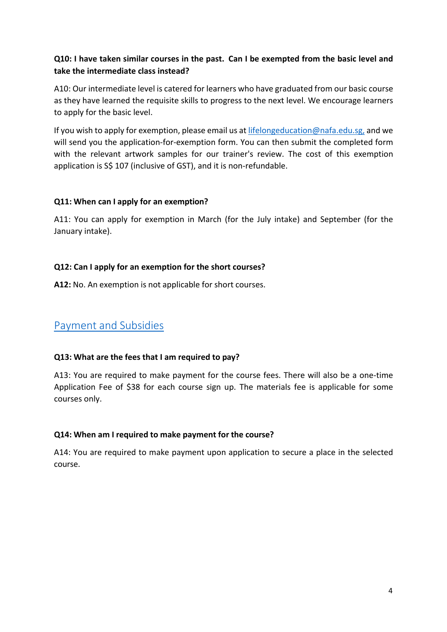# **Q10: I have taken similar courses in the past. Can I be exempted from the basic level and take the intermediate class instead?**

A10: Our intermediate level is catered for learners who have graduated from our basic course as they have learned the requisite skills to progress to the next level. We encourage learners to apply for the basic level.

If you wish to apply for exemption, please email us at [lifelongeducation@nafa.edu.sg,](mailto:lifelongeducation@nafa.edu.sg) and we will send you the application-for-exemption form. You can then submit the completed form with the relevant artwork samples for our trainer's review. The cost of this exemption application is S\$ 107 (inclusive of GST), and it is non-refundable.

#### **Q11: When can I apply for an exemption?**

A11: You can apply for exemption in March (for the July intake) and September (for the January intake).

#### **Q12: Can I apply for an exemption for the short courses?**

**A12:** No. An exemption is not applicable for short courses.

# <span id="page-3-0"></span>Payment and [Subsidies](#page-0-0)

#### **Q13: What are the fees that I am required to pay?**

A13: You are required to make payment for the course fees. There will also be a one-time Application Fee of \$38 for each course sign up. The materials fee is applicable for some courses only.

#### **Q14: When am I required to make payment for the course?**

A14: You are required to make payment upon application to secure a place in the selected course.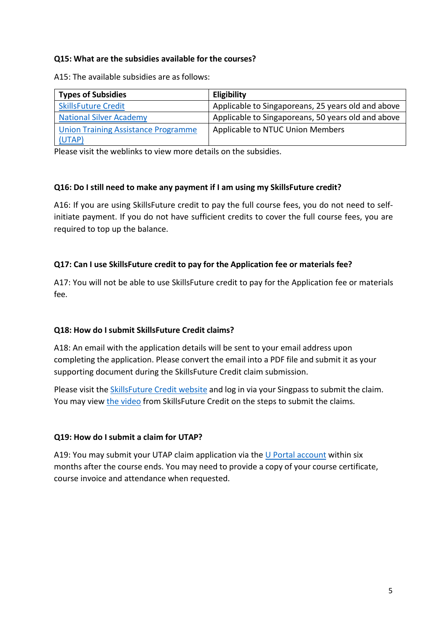#### **Q15: What are the subsidies available for the courses?**

A15: The available subsidies are as follows:

| <b>Types of Subsidies</b>                  | Eligibility                                        |
|--------------------------------------------|----------------------------------------------------|
| <b>SkillsFuture Credit</b>                 | Applicable to Singaporeans, 25 years old and above |
| <b>National Silver Academy</b>             | Applicable to Singaporeans, 50 years old and above |
| <b>Union Training Assistance Programme</b> | Applicable to NTUC Union Members                   |
| (UTAP)                                     |                                                    |

Please visit the weblinks to view more details on the subsidies.

#### **Q16: Do I still need to make any payment if I am using my SkillsFuture credit?**

A16: If you are using SkillsFuture credit to pay the full course fees, you do not need to selfinitiate payment. If you do not have sufficient credits to cover the full course fees, you are required to top up the balance.

#### **Q17: Can I use SkillsFuture credit to pay for the Application fee or materials fee?**

A17: You will not be able to use SkillsFuture credit to pay for the Application fee or materials fee.

#### **Q18: How do I submit SkillsFuture Credit claims?**

A18: An email with the application details will be sent to your email address upon completing the application. Please convert the email into a PDF file and submit it as your supporting document during the SkillsFuture Credit claim submission.

Please visit the SkillsFuture [Credit website a](https://www.myskillsfuture.gov.sg/content/portal/en/index.html)nd log in via your Singpass to submit the claim. You may view [the video](https://www.facebook.com/329706457215943/videos/444499443180552) from SkillsFuture Credit on the steps to submit the claims.

#### **Q19: How do I submit a claim for UTAP?**

A19: You may submit your UTAP claim application via the [U Portal account](https://www.ntuc.org.sg/wps/portal/up2/home/eserviceslanding?id=6bc1ca2c-ce81-4acb-a28f-c0be586e185f) within six months after the course ends. You may need to provide a copy of your course certificate, course invoice and attendance when requested.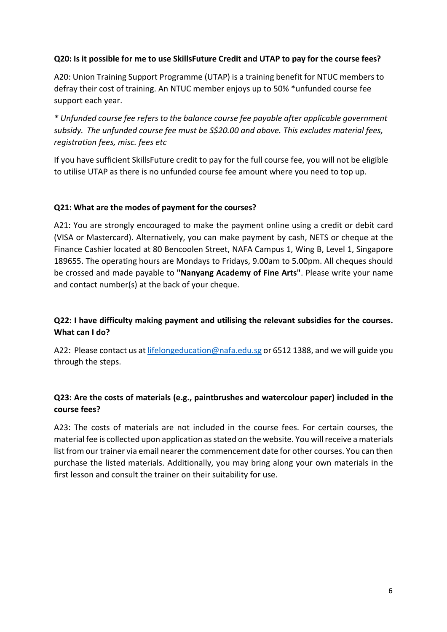#### **Q20: Is it possible for me to use SkillsFuture Credit and UTAP to pay for the course fees?**

A20: Union Training Support Programme (UTAP) is a training benefit for NTUC members to defray their cost of training. An NTUC member enjoys up to 50% \*unfunded course fee support each year.

*\* Unfunded course fee refers to the balance course fee payable after applicable government subsidy. The unfunded course fee must be S\$20.00 and above. This excludes material fees, registration fees, misc. fees etc*

If you have sufficient SkillsFuture credit to pay for the full course fee, you will not be eligible to utilise UTAP as there is no unfunded course fee amount where you need to top up.

#### **Q21: What are the modes of payment for the courses?**

A21: You are strongly encouraged to make the payment online using a credit or debit card (VISA or Mastercard). Alternatively, you can make payment by cash, NETS or cheque at the Finance Cashier located at 80 Bencoolen Street, NAFA Campus 1, Wing B, Level 1, Singapore 189655. The operating hours are Mondays to Fridays, 9.00am to 5.00pm. All cheques should be crossed and made payable to **"Nanyang Academy of Fine Arts"**. Please write your name and contact number(s) at the back of your cheque.

# **Q22: I have difficulty making payment and utilising the relevant subsidies for the courses. What can I do?**

A22: Please contact us at [lifelongeducation@nafa.edu.sg](mailto:lifelongeducation@nafa.edu.sg) or 6512 1388, and we will guide you through the steps.

# **Q23: Are the costs of materials (e.g., paintbrushes and watercolour paper) included in the course fees?**

A23: The costs of materials are not included in the course fees. For certain courses, the material fee is collected upon application asstated on the website. You willreceive a materials list from our trainer via email nearer the commencement date for other courses. You can then purchase the listed materials. Additionally, you may bring along your own materials in the first lesson and consult the trainer on their suitability for use.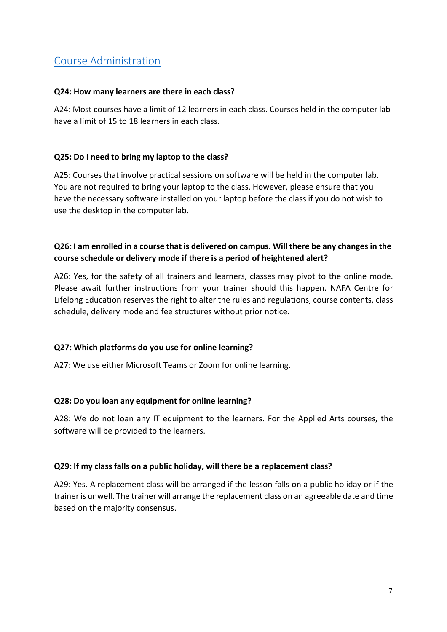# <span id="page-6-0"></span>Course [Administration](#page-0-0)

#### **Q24: How many learners are there in each class?**

A24: Most courses have a limit of 12 learners in each class. Courses held in the computer lab have a limit of 15 to 18 learners in each class.

#### **Q25: Do I need to bring my laptop to the class?**

A25: Courses that involve practical sessions on software will be held in the computer lab. You are not required to bring your laptop to the class. However, please ensure that you have the necessary software installed on your laptop before the class if you do not wish to use the desktop in the computer lab.

# **Q26: I am enrolled in a course that is delivered on campus. Will there be any changes in the course schedule or delivery mode if there is a period of heightened alert?**

A26: Yes, for the safety of all trainers and learners, classes may pivot to the online mode. Please await further instructions from your trainer should this happen. NAFA Centre for Lifelong Education reserves the right to alter the rules and regulations, course contents, class schedule, delivery mode and fee structures without prior notice.

#### **Q27: Which platforms do you use for online learning?**

A27: We use either Microsoft Teams or Zoom for online learning.

#### **Q28: Do you loan any equipment for online learning?**

A28: We do not loan any IT equipment to the learners. For the Applied Arts courses, the software will be provided to the learners.

#### **Q29: If my class falls on a public holiday, will there be a replacement class?**

A29: Yes. A replacement class will be arranged if the lesson falls on a public holiday or if the trainer is unwell. The trainer will arrange the replacement class on an agreeable date and time based on the majority consensus.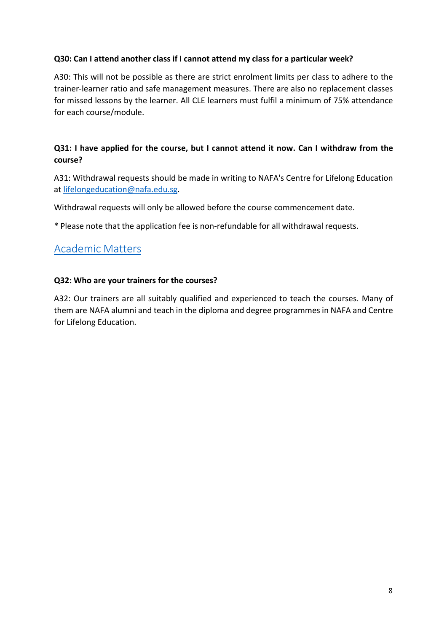#### **Q30: Can I attend another class if I cannot attend my class for a particular week?**

A30: This will not be possible as there are strict enrolment limits per class to adhere to the trainer-learner ratio and safe management measures. There are also no replacement classes for missed lessons by the learner. All CLE learners must fulfil a minimum of 75% attendance for each course/module.

# **Q31: I have applied for the course, but I cannot attend it now. Can I withdraw from the course?**

A31: Withdrawal requests should be made in writing to NAFA's Centre for Lifelong Education at [lifelongeducation@nafa.edu.sg.](mailto:lifelongeducation@nafa.edu.sg)

Withdrawal requests will only be allowed before the course commencement date.

\* Please note that the application fee is non-refundable for all withdrawal requests.

# <span id="page-7-0"></span>[Academic](#page-0-0) Matters

#### **Q32: Who are your trainers for the courses?**

A32: Our trainers are all suitably qualified and experienced to teach the courses. Many of them are NAFA alumni and teach in the diploma and degree programmesin NAFA and Centre for Lifelong Education.